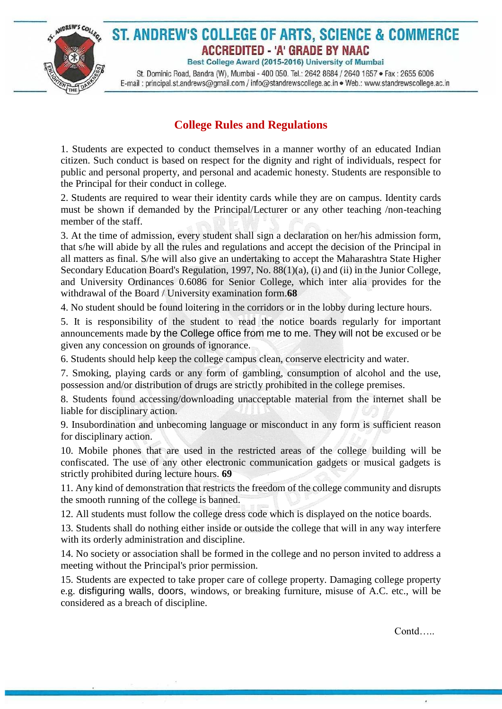

## ST. ANDREW'S COLLEGE OF ARTS, SCIENCE & COMMERCE ACCREDITED - 'A' GRADE BY NAAC

Best College Award (2015-2016) University of Mumbai

St. Dominic Road, Bandra (W), Mumbai - 400 050. Tel.: 2642 8684 / 2640 1657 · Fax: 2655 6006 E-mail: principal.st.andrews@gmail.com / info@standrewscollege.ac.in . Web.: www.standrewscollege.ac.in

## **College Rules and Regulations**

1. Students are expected to conduct themselves in a manner worthy of an educated Indian citizen. Such conduct is based on respect for the dignity and right of individuals, respect for public and personal property, and personal and academic honesty. Students are responsible to the Principal for their conduct in college.

2. Students are required to wear their identity cards while they are on campus. Identity cards must be shown if demanded by the Principal/Lecturer or any other teaching /non-teaching member of the staff.

3. At the time of admission, every student shall sign a declaration on her/his admission form, that s/he will abide by all the rules and regulations and accept the decision of the Principal in all matters as final. S/he will also give an undertaking to accept the Maharashtra State Higher Secondary Education Board's Regulation, 1997, No. 88(1)(a), (i) and (ii) in the Junior College, and University Ordinances 0.6086 for Senior College, which inter alia provides for the withdrawal of the Board / University examination form.**68**

4. No student should be found loitering in the corridors or in the lobby during lecture hours.

5. It is responsibility of the student to read the notice boards regularly for important announcements made by the College office from me to me. They will not be excused or be given any concession on grounds of ignorance.

6. Students should help keep the college campus clean, conserve electricity and water.

7. Smoking, playing cards or any form of gambling, consumption of alcohol and the use, possession and/or distribution of drugs are strictly prohibited in the college premises.

8. Students found accessing/downloading unacceptable material from the internet shall be liable for disciplinary action.

9. Insubordination and unbecoming language or misconduct in any form is sufficient reason for disciplinary action.

10. Mobile phones that are used in the restricted areas of the college building will be confiscated. The use of any other electronic communication gadgets or musical gadgets is strictly prohibited during lecture hours. **69**

11. Any kind of demonstration that restricts the freedom of the college community and disrupts the smooth running of the college is banned.

12. All students must follow the college dress code which is displayed on the notice boards.

13. Students shall do nothing either inside or outside the college that will in any way interfere with its orderly administration and discipline.

14. No society or association shall be formed in the college and no person invited to address a meeting without the Principal's prior permission.

15. Students are expected to take proper care of college property. Damaging college property e.g. disfiguring walls, doors, windows, or breaking furniture, misuse of A.C. etc., will be considered as a breach of discipline.

Contd…..

ú